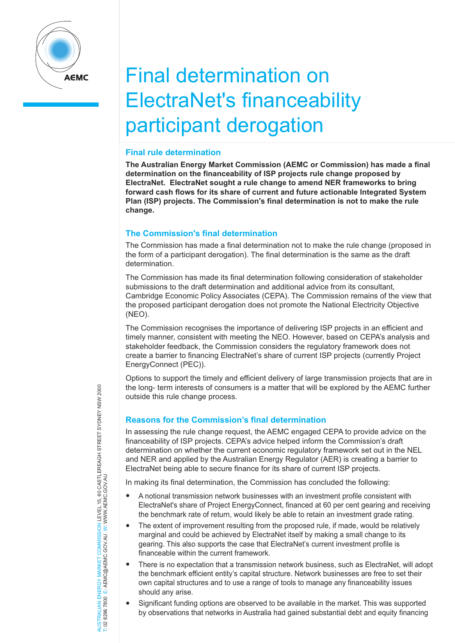

# Final determination on ElectraNet's financeability participant derogation

### **Final rule determination**

**The Australian Energy Market Commission (AEMC or Commission) has made a final determination on the financeability of ISP projects rule change proposed by ElectraNet. ElectraNet sought a rule change to amend NER frameworks to bring forward cash flows for its share of current and future actionable Integrated System Plan (ISP) projects. The Commission's final determination is not to make the rule change.** 

## **The Commission's final determination**

The Commission has made a final determination not to make the rule change (proposed in the form of a participant derogation). The final determination is the same as the draft determination.

The Commission has made its final determination following consideration of stakeholder submissions to the draft determination and additional advice from its consultant, Cambridge Economic Policy Associates (CEPA). The Commission remains of the view that the proposed participant derogation does not promote the National Electricity Objective (NEO).

The Commission recognises the importance of delivering ISP projects in an efficient and timely manner, consistent with meeting the NEO. However, based on CEPA's analysis and stakeholder feedback, the Commission considers the regulatory framework does not create a barrier to financing ElectraNet's share of current ISP projects (currently Project EnergyConnect (PEC)).

Options to support the timely and efficient delivery of large transmission projects that are in the long- term interests of consumers is a matter that will be explored by the AEMC further outside this rule change process.

## **Reasons for the Commission's final determination**

In assessing the rule change request, the AEMC engaged CEPA to provide advice on the financeability of ISP projects. CEPA's advice helped inform the Commission's draft determination on whether the current economic regulatory framework set out in the NEL and NER and applied by the Australian Energy Regulator (AER) is creating a barrier to ElectraNet being able to secure finance for its share of current ISP projects.

In making its final determination, the Commission has concluded the following:

- A notional transmission network businesses with an investment profile consistent with ElectraNet's share of Project EnergyConnect, financed at 60 per cent gearing and receiving the benchmark rate of return, would likely be able to retain an investment grade rating.
- The extent of improvement resulting from the proposed rule, if made, would be relatively marginal and could be achieved by ElectraNet itself by making a small change to its gearing. This also supports the case that ElectraNet's current investment profile is financeable within the current framework.
- There is no expectation that a transmission network business, such as ElectraNet, will adopt the benchmark efficient entity's capital structure. Network businesses are free to set their own capital structures and to use a range of tools to manage any financeability issues should any arise.
- Significant funding options are observed to be available in the market. This was supported by observations that networks in Australia had gained substantial debt and equity financing

JERGY MARKET COMMISSION LEVEL 15, 60 CASTLEREAGH STREET SYDNEY NSW 2000<br>E: AEMC@AEMC.GOVAU W: WWW.AEMC.GOV.AU AUSTRALIAN ENERGY MARKET COMMISSION LEVEL 15, 60 CASTLEREAGH STREET SYDNEY NSW 2000 T: 02 8296 7800 E: AEMC@AEMC.GOV.AU W: WWW.AEMC.GOV.AU AUSTRALIAN FNFRGY MARKET T: 02 8296 7800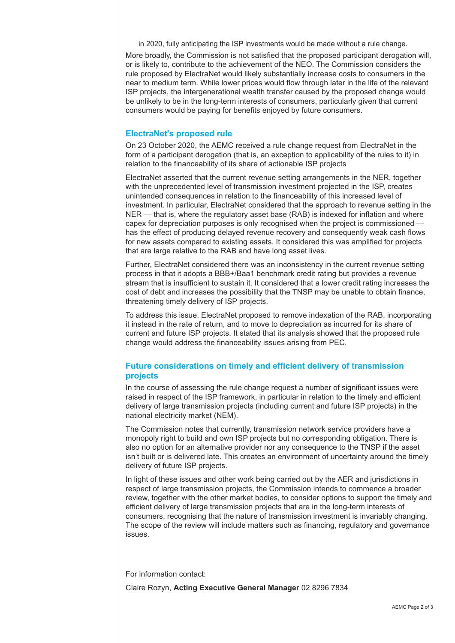in 2020, fully anticipating the ISP investments would be made without a rule change. More broadly, the Commission is not satisfied that the proposed participant derogation will, or is likely to, contribute to the achievement of the NEO. The Commission considers the rule proposed by ElectraNet would likely substantially increase costs to consumers in the near to medium term. While lower prices would flow through later in the life of the relevant ISP projects, the intergenerational wealth transfer caused by the proposed change would be unlikely to be in the long-term interests of consumers, particularly given that current consumers would be paying for benefits enjoyed by future consumers.

#### **ElectraNet's proposed rule**

On 23 October 2020, the AEMC received a rule change request from ElectraNet in the form of a participant derogation (that is, an exception to applicability of the rules to it) in relation to the financeability of its share of actionable ISP projects

ElectraNet asserted that the current revenue setting arrangements in the NER, together with the unprecedented level of transmission investment projected in the ISP, creates unintended consequences in relation to the financeability of this increased level of investment. In particular, ElectraNet considered that the approach to revenue setting in the NER — that is, where the regulatory asset base (RAB) is indexed for inflation and where capex for depreciation purposes is only recognised when the project is commissioned has the effect of producing delayed revenue recovery and consequently weak cash flows for new assets compared to existing assets. It considered this was amplified for projects that are large relative to the RAB and have long asset lives.

Further, ElectraNet considered there was an inconsistency in the current revenue setting process in that it adopts a BBB+/Baa1 benchmark credit rating but provides a revenue stream that is insufficient to sustain it. It considered that a lower credit rating increases the cost of debt and increases the possibility that the TNSP may be unable to obtain finance, threatening timely delivery of ISP projects.

To address this issue, ElectraNet proposed to remove indexation of the RAB, incorporating it instead in the rate of return, and to move to depreciation as incurred for its share of current and future ISP projects. It stated that its analysis showed that the proposed rule change would address the financeability issues arising from PEC.

#### **Future considerations on timely and efficient delivery of transmission projects**

In the course of assessing the rule change request a number of significant issues were raised in respect of the ISP framework, in particular in relation to the timely and efficient delivery of large transmission projects (including current and future ISP projects) in the national electricity market (NEM).

The Commission notes that currently, transmission network service providers have a monopoly right to build and own ISP projects but no corresponding obligation. There is also no option for an alternative provider nor any consequence to the TNSP if the asset isn't built or is delivered late. This creates an environment of uncertainty around the timely delivery of future ISP projects.

In light of these issues and other work being carried out by the AER and jurisdictions in respect of large transmission projects, the Commission intends to commence a broader review, together with the other market bodies, to consider options to support the timely and efficient delivery of large transmission projects that are in the long-term interests of consumers, recognising that the nature of transmission investment is invariably changing. The scope of the review will include matters such as financing, regulatory and governance issues.

For information contact:

Claire Rozyn, **Acting Executive General Manager** 02 8296 7834